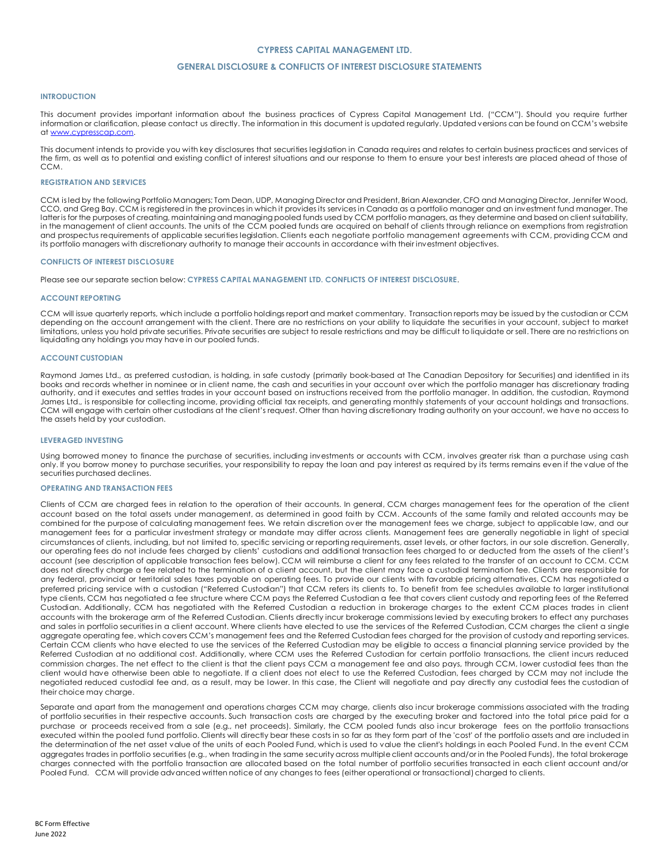## **CYPRESS CAPITAL MANAGEMENT LTD.**

## **GENERAL DISCLOSURE & CONFLICTS OF INTEREST DISCLOSURE STATEMENTS**

#### **INTRODUCTION**

This document provides important information about the business practices of Cypress Capital Management Ltd. ("CCM"). Should you require further information or clarification, please contact us directly. The information in this document is updated regularly. Updated versions can be found on CCM's website at <u>www.cypresscap.com</u>.

This document intends to provide you with key disclosures that securities legislation in Canada requires and relates to certain business practices and services of the firm, as well as to potential and existing conflict of interest situations and our response to them to ensure your best interests are placed ahead of those of CCM.

### **REGISTRATION AND SERVICES**

CCM is led by the following Portfolio Managers; Tom Dean, UDP, Managing Director and President, Brian Alexander, CFO and Managing Director, Jennifer Wood, CCO, and Greg Bay. CCM is registered in the provinces in which it provides its services in Canada as a portfolio manager and an investment fund manager. The latter is for the purposes of creating, maintaining and managing pooled funds used by CCM portfolio managers, as they determine and based on client suitability, in the management of client accounts. The units of the CCM pooled funds are acquired on behalf of clients through reliance on exemptions from registration and prospectus requirements of applicable securities legislation. Clients each negotiate portfolio management agreements with CCM, providing CCM and its portfolio managers with discretionary authority to manage their accounts in accordance with their investment objectives.

#### **CONFLICTS OF INTEREST DISCLOSURE**

Please see our separate section below: **CYPRESS CAPITAL MANAGEMENT LTD. CONFLICTS OF INTEREST DISCLOSURE**.

#### **ACCOUNT REPORTING**

CCM will issue quarterly reports, which include a portfolio holdings report and market commentary. Transaction reports may be issued by the custodian or CCM depending on the account arrangement with the client. There are no restrictions on your ability to liquidate the securities in your account, subject to market limitations, unless you hold private securities. Private securities are subject to resale restrictions and may be difficult to liquidate or sell. There are no restrictions on liquidating any holdings you may have in our pooled funds.

#### **ACCOUNT CUSTODIAN**

Raymond James Ltd., as preferred custodian, is holding, in safe custody (primarily book-based at The Canadian Depository for Securities) and identified in its books and records whether in nominee or in client name, the cash and securities in your account over which the portfolio manager has discretionary trading authority, and it executes and settles trades in your account based on instructions received from the portfolio manager. In addition, the custodian, Raymond James Ltd., is responsible for collecting income, providing official tax receipts, and generating monthly statements of your account holdings and transactions. CCM will engage with certain other custodians at the client's request. Other than having discretionary trading authority on your account, we have no access to the assets held by your custodian.

#### **LEVERAGED INVESTING**

Using borrowed money to finance the purchase of securities, including investments or accounts with CCM, involves greater risk than a purchase using cash only. If you borrow money to purchase securities, your responsibility to repay the loan and pay interest as required by its terms remains even if the value of the securities purchased declines.

### **OPERATING AND TRANSACTION FEES**

Clients of CCM are charged fees in relation to the operation of their accounts. In general, CCM charges management fees for the operation of the client account based on the total assets under management, as determined in good faith by CCM. Accounts of the same family and related accounts may be combined for the purpose of calculating management fees. We retain discretion over the management fees we charge, subject to applicable law, and our management fees for a particular investment strategy or mandate may differ across clients. Management fees are generally negotiable in light of special circumstances of clients, including, but not limited to, specific servicing or reporting requirements, asset levels, or other factors, in our sole discretion. Generally, our operating fees do not include fees charged by clients' custodians and additional transaction fees charged to or deducted from the assets of the client's account (see description of applicable transaction fees below). CCM will reimburse a client for any fees related to the transfer of an account to CCM. CCM does not directly charge a fee related to the termination of a client account, but the client may face a custodial termination fee. Clients are responsible for any federal, provincial or territorial sales taxes payable on operating fees. To provide our clients with favorable pricing alternatives, CCM has negotiated a preferred pricing service with a custodian ("Referred Custodian") that CCM refers its clients to. To benefit from fee schedules available to larger institutional type clients, CCM has negotiated a fee structure where CCM pays the Referred Custodian a fee that covers client custody and reporting fees of the Referred Custodian. Additionally, CCM has negotiated with the Referred Custodian a reduction in brokerage charges to the extent CCM places trades in client accounts with the brokerage arm of the Referred Custodian. Clients directly incur brokerage commissions levied by executing brokers to effect any purchases and sales in portfolio securities in a client account. Where clients have elected to use the services of the Referred Custodian, CCM charges the client a single aggregate operating fee, which covers CCM's management fees and the Referred Custodian fees charged for the provision of custody and reporting services. Certain CCM clients who have elected to use the services of the Referred Custodian may be eligible to access a financial planning service provided by the Referred Custodian at no additional cost. Additionally, where CCM uses the Referred Custodian for certain portfolio transactions, the client incurs reduced commission charges. The net effect to the client is that the client pays CCM a management fee and also pays, through CCM, lower custodial fees than the client would have otherwise been able to negotiate. If a client does not elect to use the Referred Custodian, fees charged by CCM may not include the negotiated reduced custodial fee and, as a result, may be lower. In this case, the Client will negotiate and pay directly any custodial fees the custodian of their choice may charge.

Separate and apart from the management and operations charges CCM may charge, clients also incur brokerage commissions associated with the trading of portfolio securities in their respective accounts. Such transaction costs are charged by the executing broker and factored into the total price paid for a purchase or proceeds received from a sale (e.g., net proceeds). Similarly, the CCM pooled funds also incur brokerage fees on the portfolio transactions executed within the pooled fund portfolio. Clients will directly bear these costs in so far as they form part of the 'cost' of the portfolio assets and are included in the determination of the net asset value of the units of each Pooled Fund, which is used to value the client's holdings in each Pooled Fund. In the event CCM aggregates trades in portfolio securities (e.g., when trading in the same security across multiple client accounts and/or in the Pooled Funds), the total brokerage charges connected with the portfolio transaction are allocated based on the total number of portfolio securities transacted in each client account and/or Pooled Fund. CCM will provide advanced written notice of any changes to fees (either operational or transactional) charged to clients.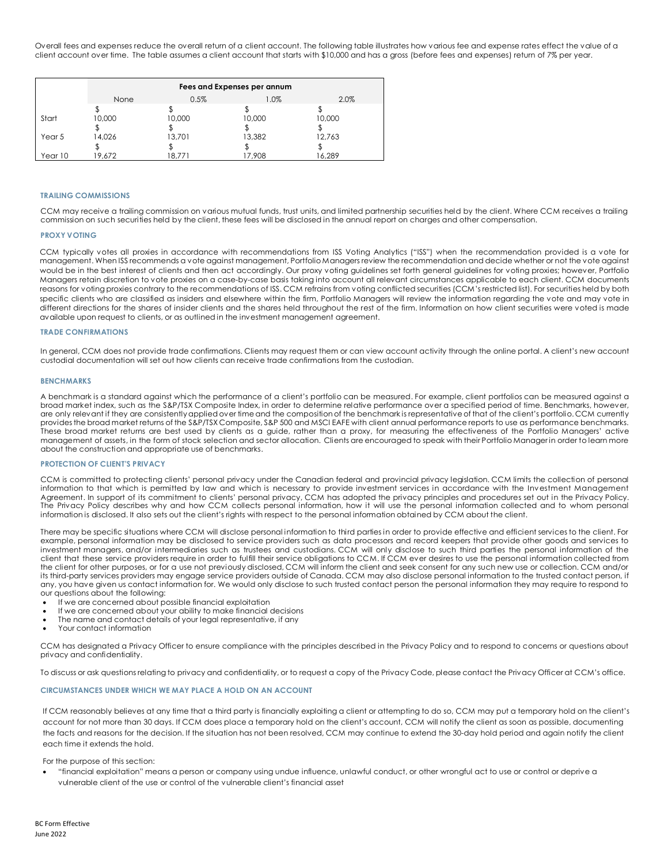Overall fees and expenses reduce the overall return of a client account. The following table illustrates how various fee and expense rates effect the value of a client account over time. The table assumes a client account that starts with \$10,000 and has a gross (before fees and expenses) return of 7% per year.

|         | Fees and Expenses per annum |        |         |        |  |
|---------|-----------------------------|--------|---------|--------|--|
|         | None                        | 0.5%   | $1.0\%$ | 2.0%   |  |
|         |                             |        |         |        |  |
| Start   | 10,000                      | 10,000 | 10,000  | 10,000 |  |
|         |                             |        |         |        |  |
| Year 5  | 14,026                      | 13,701 | 13,382  | 12,763 |  |
|         |                             |        |         |        |  |
| Year 10 | 19.672                      | 18.771 | 17.908  | 16.289 |  |

## **TRAILING COMMISSIONS**

CCM may receive a trailing commission on various mutual funds, trust units, and limited partnership securities held by the client. Where CCM receives a trailing commission on such securities held by the client, these fees will be disclosed in the annual report on charges and other compensation.

#### **PROXY VOTING**

CCM typically votes all proxies in accordance with recommendations from ISS Voting Analytics ("ISS") when the recommendation provided is a vote for management. When ISS recommends a vote against management, Portfolio Managers review the recommendation and decide whether or not the vote against would be in the best interest of clients and then act accordingly. Our proxy voting guidelines set forth general guidelines for voting proxies; however, Portfolio Managers retain discretion to vote proxies on a case-by-case basis taking into account all relevant circumstances applicable to each client. CCM documents reasons for voting proxies contrary to the recommendations of ISS. CCM refrains from voting conflicted securities (CCM's restricted list). For securities held by both specific clients who are classified as insiders and elsewhere within the firm, Portfolio Managers will review the information regarding the vote and may vote in different directions for the shares of insider clients and the shares held throughout the rest of the firm. Information on how client securities were voted is made available upon request to clients, or as outlined in the investment management agreement.

## **TRADE CONFIRMATIONS**

In general, CCM does not provide trade confirmations. Clients may request them or can view account activity through the online portal. A client's new account custodial documentation will set out how clients can receive trade confirmations from the custodian.

#### **BENCHMARKS**

A benchmark is a standard against which the performance of a client's portfolio can be measured. For example, client portfolios can be measured against a broad market index, such as the S&P/TSX Composite Index, in order to determine relative performance over a specified period of time. Benchmarks, however, are only relevant if they are consistently applied over time and the composition of the benchmark is representative of that of the client's portfolio. CCM currently providesthe broad market returns of the S&P/TSX Composite, S&P 500 and MSCI EAFE with client annual performance reports to use as performance benchmarks. These broad market returns are best used by clients as a guide, rather than a proxy, for measuring the effectiveness of the Portfolio Managers' active management of assets, in the form of stock selection and sector allocation. Clients are encouraged to speak with their Portfolio Manager in order to learn more about the construction and appropriate use of benchmarks.

## **PROTECTION OF CLIENT'S PRIVACY**

CCM is committed to protecting clients' personal privacy under the Canadian federal and provincial privacy legislation. CCM limits the collection of personal information to that which is permitted by law and which is necessary to provide investment services in accordance with the Inv estment Management Agreement. In support of its commitment to clients' personal privacy, CCM has adopted the privacy principles and procedures set out in the Privacy Policy. The Privacy Policy describes why and how CCM collects personal information, how it will use the personal information collected and to whom personal information is disclosed. It also sets out the client's rights with respect to the personal information obtained by CCM about the client.

There may be specific situations where CCM will disclose personal information to third parties in order to provide effective and efficient services to the client. For example, personal information may be disclosed to service providers such as data processors and record keepers that provide other goods and services to investment managers, and/or intermediaries such as trustees and custodians. CCM will only disclose to such third parties the personal information of the client that these service providers require in order to fulfill their service obligations to CCM. If CCM ever desires to use the personal information collected from the client for other purposes, or for a use not previously disclosed, CCM will inform the client and seek consent for any such new use or collection. CCM and/or its third-party services providers may engage service providers outside of Canada. CCM may also disclose personal information to the trusted contact person, if any, you have given us contact information for. We would only disclose to such trusted contact person the personal information they may require to respond to our questions about the following:

- If we are concerned about possible financial exploitation
- If we are concerned about your ability to make financial decisions
- The name and contact details of your legal representative, if any
- Your contact information

CCM has designated a Privacy Officer to ensure compliance with the principles described in the Privacy Policy and to respond to concerns or questions about privacy and confidentiality.

To discuss or ask questions relating to privacy and confidentiality, or to request a copy of the Privacy Code, please contact the Privacy Officer at CCM's office.

## **CIRCUMSTANCES UNDER WHICH WE MAY PLACE A HOLD ON AN ACCOUNT**

If CCM reasonably believes at any time that a third party is financially exploiting a client or attempting to do so, CCM may put a temporary hold on the client's account for not more than 30 days. If CCM does place a temporary hold on the client's account, CCM will notify the client as soon as possible, documenting the facts and reasons for the decision. If the situation has not been resolved, CCM may continue to extend the 30-day hold period and again notify the client each time it extends the hold.

### For the purpose of this section:

• "financial exploitation" means a person or company using undue influence, unlawful conduct, or other wrongful act to use or control or deprive a vulnerable client of the use or control of the vulnerable client's financial asset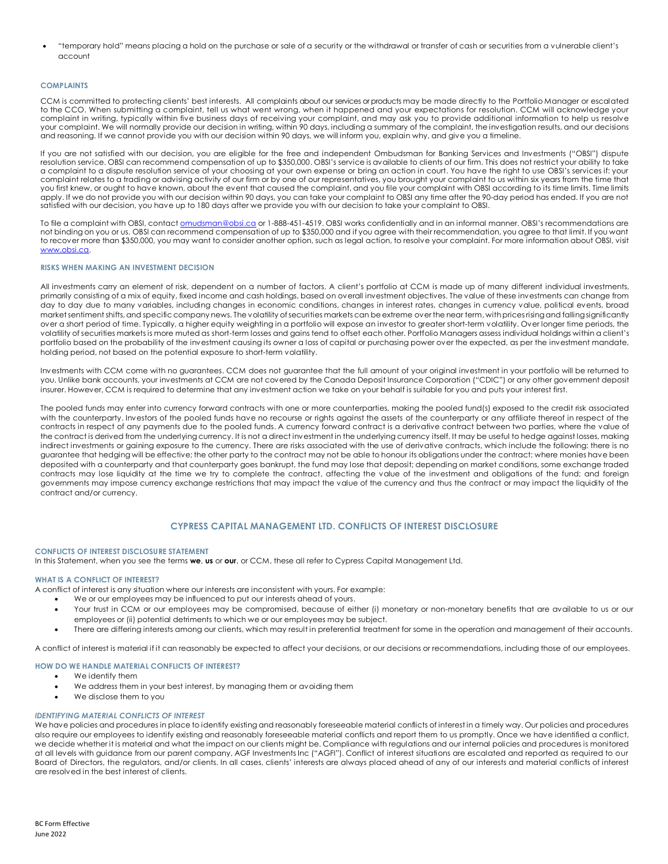• "temporary hold" means placing a hold on the purchase or sale of a security or the withdrawal or transfer of cash or securities from a vulnerable client's account

## **COMPLAINTS**

CCM is committed to protecting clients' best interests. All complaints about our services or products may be made directly to the Portfolio Manager or escalated to the CCO. When submitting a complaint, tell us what went wrong, when it happened and your expectations for resolution. CCM will acknowledge your complaint in writing, typically within five business days of receiving your complaint, and may ask you to provide additional information to help us resolve your complaint. We will normally provide our decision in writing, within 90 days, including a summary of the complaint, the investigation results, and our decisions and reasoning. If we cannot provide you with our decision within 90 days, we will inform you, explain why, and give you a timeline.

If you are not satisfied with our decision, you are eligible for the free and independent Ombudsman for Banking Services and Investments ("OBSI") dispute resolution service. OBSI can recommend compensation of up to \$350,000. OBSI's service is available to clients of our firm. This does not restrict your ability to take a complaint to a dispute resolution service of your choosing at your own expense or bring an action in court. You have the right to use OBSI's services if: your complaint relates to a trading or advising activity of our firm or by one of our representatives, you brought your complaint to us within six years from the time that you first knew, or ought to have known, about the event that caused the complaint, and you file your complaint with OBSI according to its time limits. Time limits apply. If we do not provide you with our decision within 90 days, you can take your complaint to OBSI any time after the 90-day period has ended. If you are not satisfied with our decision, you have up to 180 days after we provide you with our decision to take your complaint to OBSI.

To file a complaint with OBSI, contact <u>omudsman@obsi.ca</u> or 1-888-451-4519. OBSI works confidentially and in an informal manner. OBSI's recommendations are not binding on you or us. OBSI can recommend compensation of up to \$350,000 and if you agree with their recommendation, you agree to that limit. If you want to recover more than \$350,000, you may want to consider another option, such as legal action, to resolve your complaint. For more information about OBSI, visit [www.obsi.ca.](http://www.obsi.ca/)

#### **RISKS WHEN MAKING AN INVESTMENT DECISION**

All investments carry an element of risk, dependent on a number of factors. A client's portfolio at CCM is made up of many different individual investments, primarily consisting of a mix of equity, fixed income and cash holdings, based on overall investment objectives. The value of these investments can change from day to day due to many variables, including changes in economic conditions, changes in interest rates, changes in currency value, political events, broad market sentiment shifts, and specific company news. The volatility of securities markets can be extreme over the near term, with prices rising and falling significantly over a short period of time. Typically, a higher equity weighting in a portfolio will expose an investor to greater short-term volatility. Over longer time periods, the volatility of securities markets is more muted as short-term losses and gains tend to offset each other. Portfolio Managers assess individual holdings within a client's portfolio based on the probability of the investment causing its owner a loss of capital or purchasing power over the expected, as per the investment mandate, holding period, not based on the potential exposure to short-term volatility.

Investments with CCM come with no guarantees. CCM does not guarantee that the full amount of your original investment in your portfolio will be returned to you. Unlike bank accounts, your investments at CCM are not covered by the Canada Deposit Insurance Corporation ("CDIC") or any other government deposit insurer. However, CCM is required to determine that any investment action we take on your behalf is suitable for you and puts your interest first.

The pooled funds may enter into currency forward contracts with one or more counterparties, making the pooled fund(s) exposed to the credit risk associated with the counterparty. Investors of the pooled funds have no recourse or rights against the assets of the counterparty or any affiliate thereof in respect of the contracts in respect of any payments due to the pooled funds. A currency forward contract is a derivative contract between two parties, where the value of the contract is derived from the underlying currency. It is not a direct investment in the underlying currency itself. It may be useful to hedge against losses, making indirect investments or gaining exposure to the currency. There are risks associated with the use of derivative contracts, which include the following: there is no guarantee that hedging will be effective; the other party to the contract may not be able to honour its obligations under the contract; where monies have been deposited with a counterparty and that counterparty goes bankrupt, the fund may lose that deposit; depending on market conditions, some exchange traded contracts may lose liquidity at the time we try to complete the contract, affecting the value of the investment and obligations of the fund; and foreign governments may impose currency exchange restrictions that may impact the value of the currency and thus the contract or may impact the liquidity of the contract and/or currency.

## **CYPRESS CAPITAL MANAGEMENT LTD. CONFLICTS OF INTEREST DISCLOSURE**

## **CONFLICTS OF INTEREST DISCLOSURE STATEMENT**

In this Statement, when you see the terms **we**, **us** or **our**, or CCM, these all refer to Cypress Capital Management Ltd.

## **WHAT IS A CONFLICT OF INTEREST?**

A conflict of interest is any situation where our interests are inconsistent with yours. For example:

- We or our employees may be influenced to put our interests ahead of yours.
- Your trust in CCM or our employees may be compromised, because of either (i) monetary or non-monetary benefits that are available to us or our employees or (ii) potential detriments to which we or our employees may be subject.
- There are differing interests among our clients, which may result in preferential treatment for some in the operation and management of their accounts.

A conflict of interest is material if it can reasonably be expected to affect your decisions, or our decisions or recommendations, including those of our employees.

### **HOW DO WE HANDLE MATERIAL CONFLICTS OF INTEREST?**

- We identify them
- We address them in your best interest, by managing them or avoiding them
- We disclose them to you

#### *IDENTIFYING MATERIAL CONFLICTS OF INTEREST*

We have policies and procedures in place to identify existing and reasonably foreseeable material conflicts of interest in a timely way. Our policies and procedures also require our employees to identify existing and reasonably foreseeable material conflicts and report them to us promptly. Once we have identified a conflict, we decide whether it is material and what the impact on our clients might be. Compliance with regulations and our internal policies and procedures is monitored at all levels with guidance from our parent company, AGF Investments Inc ("AGFI"). Conflict of interest situations are escalated and reported as required to our Board of Directors, the regulators, and/or clients. In all cases, clients' interests are always placed ahead of any of our interests and material conflicts of interest are resolved in the best interest of clients.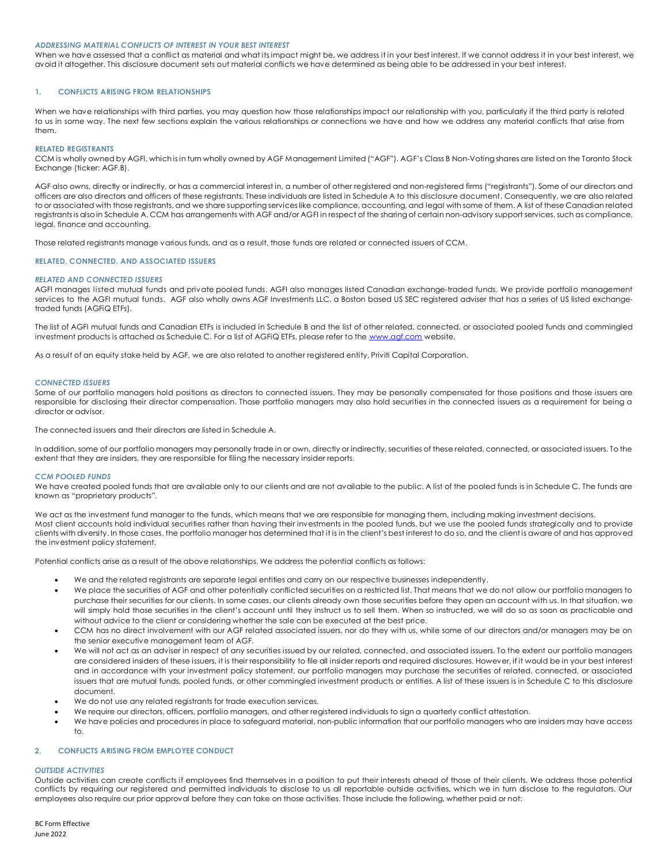#### *ADDRESSING MATERIAL CONFLICTS OF INTEREST IN YOUR BEST INTEREST*

When we have assessed that a conflict as material and what its impact might be, we address it in your best interest. If we cannot address it in your best interest, we avoid it altogether. This disclosure document sets out material conflicts we have determined as being able to be addressed in your best interest.

## **1. CONFLICTS ARISING FROM RELATIONSHIPS**

When we have relationships with third parties, you may question how those relationships impact our relationship with you, particularly if the third party is related to us in some way. The next few sections explain the various relationships or connections we have and how we address any material conflicts that arise from them.

### **RELATED REGISTRANTS**

CCM is wholly owned by AGFI, which is in turn wholly owned by AGF Management Limited ("AGF"). AGF's Class B Non-Voting shares are listed on the Toronto Stock Exchange (ticker: AGF.B).

AGF also owns, directly or indirectly, or has a commercial interest in, a number of other registered and non-registered firms ("registrants"). Some of our directors and officers are also directors and officers of these registrants. These individuals are listed in Schedule A to this disclosure document. Consequently, we are also related to or associated with those registrants, and we share supporting services like compliance, accounting, and legal with some of them. A list of these Canadian related registrants is also in Schedule A. CCM has arrangements with AGF and/or AGFI in respect of the sharing of certain non-advisory support services, such as compliance, legal, finance and accounting.

Those related registrants manage various funds, and as a result, those funds are related or connected issuers of CCM.

### **RELATED, CONNECTED, AND ASSOCIATED ISSUERS**

### *RELATED AND CONNECTED ISSUERS*

AGFI manages listed mutual funds and private pooled funds. AGFI also manages listed Canadian exchange-traded funds. We provide portfolio management services to the AGFI mutual funds. AGF also wholly owns AGF Investments LLC, a Boston based US SEC registered adviser that has a series of US listed exchangetraded funds (AGFiQ ETFs).

The list of AGFI mutual funds and Canadian ETFs is included in Schedule B and the list of other related, connected, or associated pooled funds and commingled investment products is attached as Schedule C. For a list of AGFiQ ETFs, please refer to the [www.agf.com](http://www.agf.com/) website.

As a result of an equity stake held by AGF, we are also related to another registered entity, Priviti Capital Corporation.

#### *CONNECTED ISSUERS*

Some of our portfolio managers hold positions as directors to connected issuers. They may be personally compensated for those positions and those issuers are responsible for disclosing their director compensation. Those portfolio managers may also hold securities in the connected issuers as a requirement for being a director or advisor.

The connected issuers and their directors are listed in Schedule A.

In addition, some of our portfolio managers may personally trade in or own, directly or indirectly, securities of these related, connected, or associated issuers. To the extent that they are insiders, they are responsible for filing the necessary insider reports.

### *CCM POOLED FUNDS*

We have created pooled funds that are available only to our clients and are not available to the public. A list of the pooled funds is in Schedule C. The funds are known as "proprietary products".

We act as the investment fund manager to the funds, which means that we are responsible for managing them, including making investment decisions. Most client accounts hold individual securities rather than having their investments in the pooled funds, but we use the pooled funds strategically and to provide clients with diversity. In those cases, the portfolio manager has determined that it is in the client's best interest to do so, and the client is aware of and has approved the investment policy statement.

Potential conflicts arise as a result of the above relationships. We address the potential conflicts as follows:

- We and the related registrants are separate legal entities and carry on our respective businesses independently.
- We place the securities of AGF and other potentially conflicted securities on a restricted list. That means that we do not allow our portfolio managers to purchase their securities for our clients. In some cases, our clients already own those securities before they open an account with us. In that situation, we will simply hold those securities in the client's account until they instruct us to sell them. When so instructed, we will do so as soon as practicable and without advice to the client or considering whether the sale can be executed at the best price.
- CCM has no direct involvement with our AGF related associated issuers, nor do they with us, while some of our directors and/or managers may be on the senior executive management team of AGF.
- We will not act as an adviser in respect of any securities issued by our related, connected, and associated issuers. To the extent our portfolio managers are considered insiders of these issuers, it is their responsibility to file all insider reports and required disclosures. However, if it would be in your best interest and in accordance with your investment policy statement, our portfolio managers may purchase the securities of related, connected, or associated issuers that are mutual funds, pooled funds, or other commingled investment products or entities. A list of these issuers is in Schedule C to this disclosure document.
- We do not use any related registrants for trade execution services.
- We require our directors, officers, portfolio managers, and other registered individuals to sign a quarterly conflict attestation.
- We have policies and procedures in place to safeguard material, non-public information that our portfolio managers who are insiders may have access to.

## **2. CONFLICTS ARISING FROM EMPLOYEE CONDUCT**

#### *OUTSIDE ACTIVITIES*

Outside activities can create conflicts if employees find themselves in a position to put their interests ahead of those of their clients. We address those potential conflicts by requiring our registered and permitted individuals to disclose to us all reportable outside activities, which we in turn disclose to the regulators. Our employees also require our prior approval before they can take on those activities. Those include the following, whether paid or not: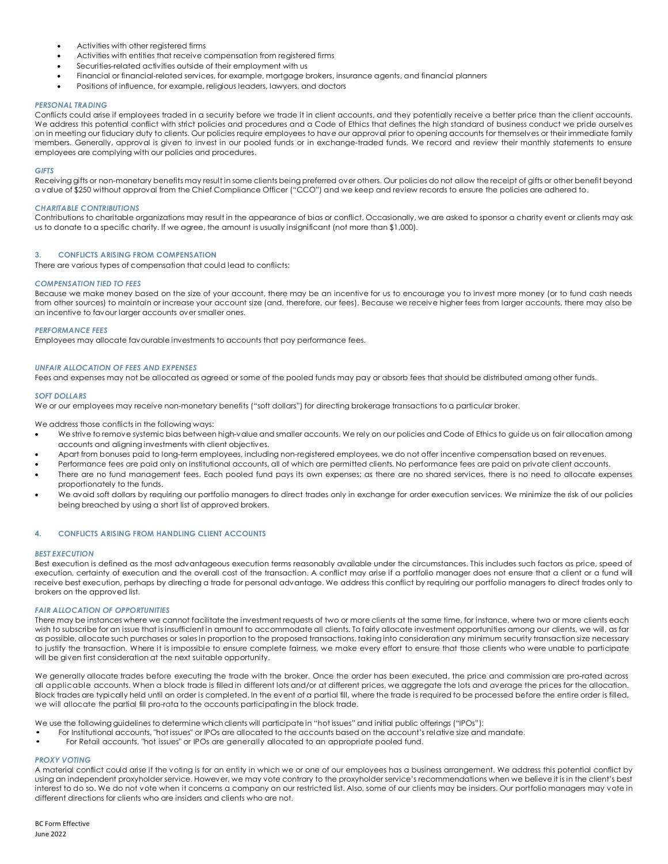- Activities with other registered firms
- Activities with entities that receive compensation from registered firms
- Securities-related activities outside of their employment with us
- Financial or financial-related services, for example, mortgage brokers, insurance agents, and financial planners
- Positions of influence, for example, religious leaders, lawyers, and doctors

#### *PERSONAL TRADING*

Conflicts could arise if employees traded in a security before we trade it in client accounts, and they potentially receive a better price than the client accounts. We address this potential conflict with strict policies and procedures and a Code of Ethics that defines the high standard of business conduct we pride ourselves on in meeting our fiduciary duty to clients. Our policies require employees to have our approval prior to opening accounts for themselves or their immediate family members. Generally, approval is given to invest in our pooled funds or in exchange-traded funds. We record and review their monthly statements to ensure employees are complying with our policies and procedures.

#### *GIFTS*

Receiving gifts or non-monetary benefits may result in some clients being preferred over others. Our policies do not allow the receipt of gifts or other benefit beyond a value of \$250 without approval from the Chief Compliance Officer ("CCO") and we keep and review records to ensure the policies are adhered to.

### *CHARITABLE CONTRIBUTIONS*

Contributions to charitable organizations may result in the appearance of bias or conflict. Occasionally, we are asked to sponsor a charity event or clients may ask us to donate to a specific charity. If we agree, the amount is usually insignificant (not more than \$1,000).

### **3. CONFLICTS ARISING FROM COMPENSATION**

There are various types of compensation that could lead to conflicts:

### *COMPENSATION TIED TO FEES*

Because we make money based on the size of your account, there may be an incentive for us to encourage you to invest more money (or to fund cash needs from other sources) to maintain or increase your account size (and, therefore, our fees). Because we receive higher fees from larger accounts, there may also be an incentive to favour larger accounts over smaller ones.

### *PERFORMANCE FEES*

Employees may allocate favourable investments to accounts that pay performance fees.

### *UNFAIR ALLOCATION OF FEES AND EXPENSES*

Fees and expenses may not be allocated as agreed or some of the pooled funds may pay or absorb fees that should be distributed among other funds.

#### *SOFT DOLLARS*

We or our employees may receive non-monetary benefits ("soft dollars") for directing brokerage transactions to a particular broker.

We address those conflicts in the following ways:

- We strive to remove systemic bias between high-value and smaller accounts. We rely on our policies and Code of Ethics to guide us on fair allocation among accounts and aligning investments with client objectives.
- Apart from bonuses paid to long-term employees, including non-registered employees, we do not offer incentive compensation based on revenues.
- Performance fees are paid only on institutional accounts, all of which are permitted clients. No performance fees are paid on private client accounts.
- There are no fund management fees. Each pooled fund pays its own expenses; as there are no shared services, there is no need to allocate expenses proportionately to the funds.
- We avoid soft dollars by requiring our portfolio managers to direct trades only in exchange for order execution services. We minimize the risk of our policies being breached by using a short list of approved brokers.

## **4. CONFLICTS ARISING FROM HANDLING CLIENT ACCOUNTS**

#### *BEST EXECUTION*

Best execution is defined as the most advantageous execution terms reasonably available under the circumstances. This includes such factors as price, speed of execution, certainty of execution and the overall cost of the transaction. A conflict may arise if a portfolio manager does not ensure that a client or a fund will receive best execution, perhaps by directing a trade for personal advantage. We address this conflict by requiring our portfolio managers to direct trades only to brokers on the approved list.

## *FAIR ALLOCATION OF OPPORTUNITIES*

There may be instances where we cannot facilitate the investment requests of two or more clients at the same time, for instance, where two or more clients each wish to subscribe for an issue that is insufficient in amount to accommodate all clients. To fairly allocate investment opportunities among our clients, we will, as far as possible, allocate such purchases or sales in proportion to the proposed transactions, taking into consideration any minimum security transaction size necessary to justify the transaction. Where it is impossible to ensure complete fairness, we make every effort to ensure that those clients who were unable to participate will be given first consideration at the next suitable opportunity.

We generally allocate trades before executing the trade with the broker. Once the order has been executed, the price and commission are pro-rated across all applicable accounts. When a block trade is filled in different lots and/or at different prices, we aggregate the lots and average the prices for the allocation. Block trades are typically held until an order is completed. In the event of a partial fill, where the trade is required to be processed before the entire order is filled, we will allocate the partial fill pro-rata to the accounts participatingin the block trade.

We use the following guidelines to determine which clients will participate in "hot issues" and initial public offerings ("IPOs"):

- For Institutional accounts, "hot issues" or IPOs are allocated to the accounts based on the account's relative size and mandate.<br>• For Retail accounts "hot issues" or IPOs are generally allocated to an appropriate pooled
- For Retail accounts, "hot issues" or IPOs are generally allocated to an appropriate pooled fund.

## *PROXY VOTING*

A material conflict could arise if the voting is for an entity in which we or one of our employees has a business arrangement. We address this potential conflict by using an independent proxyholder service. However, we may vote contrary to the proxyholder service's recommendations when we believe it is in the client's best interest to do so. We do not vote when it concerns a company on our restricted list. Also, some of our clients may be insiders. Our portfolio managers may vote in different directions for clients who are insiders and clients who are not.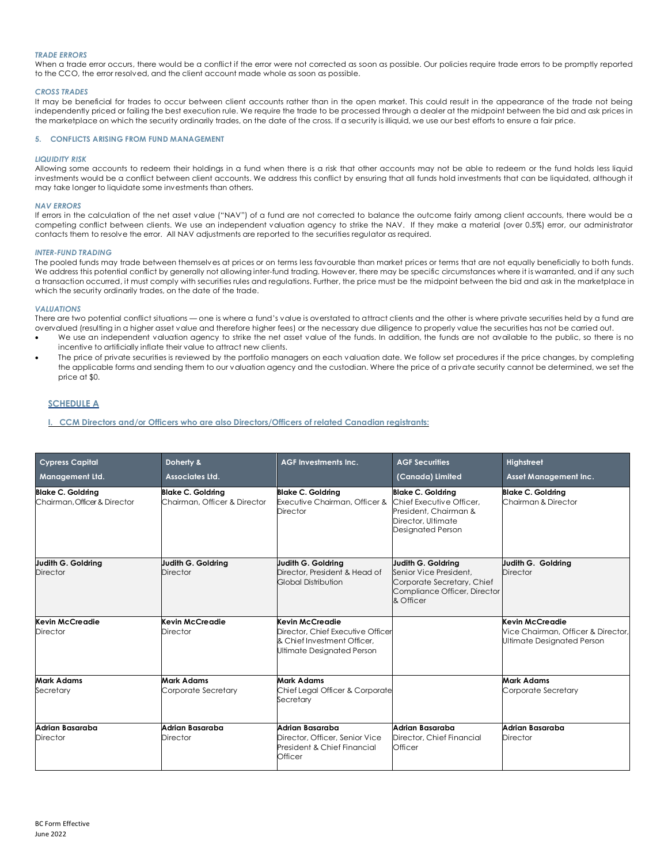## *TRADE ERRORS*

When a trade error occurs, there would be a conflict if the error were not corrected as soon as possible. Our policies require trade errors to be promptly reported to the CCO, the error resolved, and the client account made whole as soon as possible.

#### *CROSS TRADES*

It may be beneficial for trades to occur between client accounts rather than in the open market. This could result in the appearance of the trade not being independently priced or failing the best execution rule. We require the trade to be processed through a dealer at the midpoint between the bid and ask prices in the marketplace on which the security ordinarily trades, on the date of the cross. If a security is illiquid, we use our best efforts to ensure a fair price.

## **5. CONFLICTS ARISING FROM FUND MANAGEMENT**

#### *LIQUIDITY RISK*

Allowing some accounts to redeem their holdings in a fund when there is a risk that other accounts may not be able to redeem or the fund holds less liquid investments would be a conflict between client accounts. We address this conflict by ensuring that all funds hold investments that can be liquidated, although it may take longer to liquidate some investments than others.

#### *NAV ERRORS*

If errors in the calculation of the net asset value ("NAV") of a fund are not corrected to balance the outcome fairly among client accounts, there would be a competing conflict between clients. We use an independent valuation agency to strike the NAV. If they make a material (over 0.5%) error, our administrator contacts them to resolve the error. All NAV adjustments are reported to the securities regulator as required.

#### *INTER-FUND TRADING*

The pooled funds may trade between themselves at prices or on terms less favourable than market prices or terms that are not equally beneficially to both funds. We address this potential conflict by generally not allowing inter-fund trading. However, there may be specific circumstances where it is warranted, and if any such a transaction occurred, it must comply with securities rules and regulations. Further, the price must be the midpoint between the bid and ask in the marketplace in which the security ordinarily trades, on the date of the trade.

## *VALUATIONS*

There are two potential conflict situations — one is where a fund's value is overstated to attract clients and the other is where private securities held by a fund are overvalued (resulting in a higher asset value and therefore higher fees) or the necessary due diligence to properly value the securities has not be carried out.

- We use an independent valuation agency to strike the net asset value of the funds. In addition, the funds are not available to the public, so there is no incentive to artificially inflate their value to attract new clients.
- The price of private securities is reviewed by the portfolio managers on each valuation date. We follow set procedures if the price changes, by completing the applicable forms and sending them to our valuation agency and the custodian. Where the price of a private security cannot be determined, we set the price at \$0.

## **SCHEDULE A**

**I. CCM Directors and/or Officers who are also Directors/Officers of related Canadian registrants:** 

| <b>Cypress Capital</b><br><b>Management Ltd.</b>         | Doherty &<br>Associates Ltd.                             | <b>AGF Investments Inc.</b>                                                                                       | <b>AGF Securities</b><br>(Canada) Limited                                                                                | Highstreet<br><b>Asset Management Inc.</b>                                          |
|----------------------------------------------------------|----------------------------------------------------------|-------------------------------------------------------------------------------------------------------------------|--------------------------------------------------------------------------------------------------------------------------|-------------------------------------------------------------------------------------|
| <b>Blake C. Goldring</b><br>Chairman, Officer & Director | <b>Blake C. Goldring</b><br>Chairman, Officer & Director | <b>Blake C. Goldring</b><br>Executive Chairman, Officer &<br><b>Director</b>                                      | <b>Blake C. Goldring</b><br>Chief Executive Officer.<br>President, Chairman &<br>Director, Ultimate<br>Designated Person | <b>Blake C. Goldring</b><br>Chairman & Director                                     |
| Judith G. Goldring<br><b>Director</b>                    | Judith G. Goldring<br>Director                           | Judith G. Goldrina<br>Director, President & Head of<br>Global Distribution                                        | Judith G. Goldring<br>Senior Vice President.<br>Corporate Secretary, Chief<br>Compliance Officer, Director<br>& Officer  | Judith G. Goldring<br>Director                                                      |
| Kevin McCreadie<br>Director                              | Kevin McCreadie<br>Director                              | Kevin McCreadie<br>Director, Chief Executive Officer<br>& Chief Investment Officer.<br>Ultimate Designated Person |                                                                                                                          | Kevin McCreadie<br>Vice Chairman, Officer & Director,<br>Ultimate Designated Person |
| <b>Mark Adams</b><br>Secretary                           | Mark Adams<br>Corporate Secretary                        | <b>Mark Adams</b><br>Chief Legal Officer & Corporate<br>Secretary                                                 |                                                                                                                          | <b>Mark Adams</b><br>Corporate Secretary                                            |
| Adrian Basaraba<br><b>Director</b>                       | Adrian Basaraba<br><b>Director</b>                       | Adrian Basaraba<br>Director, Officer, Senior Vice<br>President & Chief Financial<br>Officer                       | Adrian Basaraba<br>Director, Chief Financial<br>Officer                                                                  | Adrian Basaraba<br><b>Director</b>                                                  |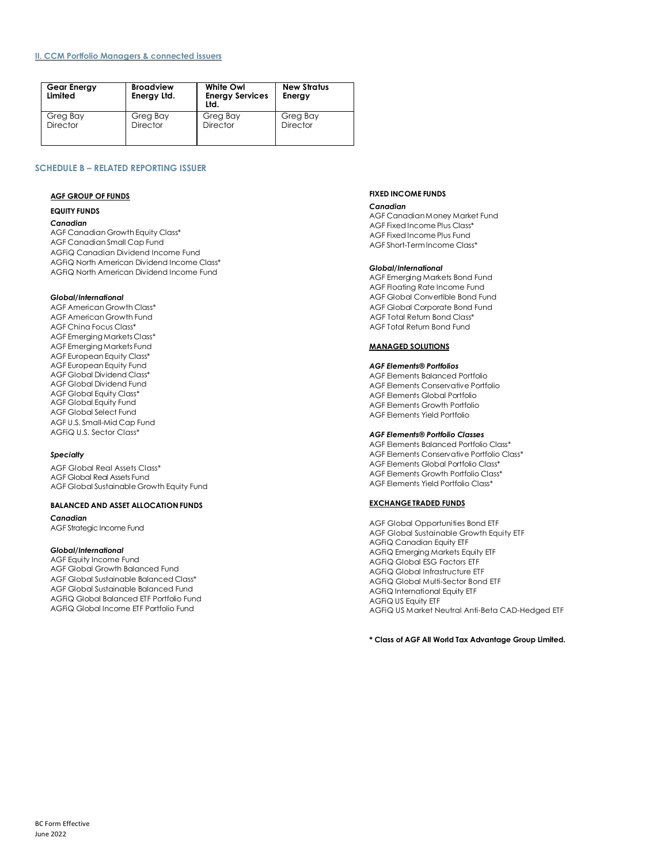## **II. CCM Portfolio Managers & connected issuers**

| <b>Gear Energy</b><br>Limited | <b>Broadview</b><br>Energy Ltd. | <b>White Owl</b><br><b>Energy Services</b><br>Ltd. | <b>New Stratus</b><br>Energy |
|-------------------------------|---------------------------------|----------------------------------------------------|------------------------------|
| Greg Bay                      | Greg Bay                        | Greg Bay                                           | Greg Bay                     |
| <b>Director</b>               | Director                        | <b>Director</b>                                    | <b>Director</b>              |

# **SCHEDULE B – RELATED REPORTING ISSUER**

### **AGF GROUP OF FUNDS**

## **EQUITY FUNDS**

#### *Canadian*

AGF Canadian Growth Equity Class\* AGF Canadian Small Cap Fund AGFiQ Canadian Dividend Income Fund AGFiQ North American Dividend Income Class\* AGFiQ North American Dividend Income Fund

## *Global/International*

AGF American Growth Class\* AGF American Growth Fund AGF China Focus Class\* AGF Emerging Markets Class\* AGF Emerging Markets Fund AGF European Equity Class\* AGF European Equity Fund AGF Global Dividend Class\* AGF Global Dividend Fund AGF Global Equity Class\* AGF Global Equity Fund AGF Global Select Fund AGF U.S. Small-Mid Cap Fund AGFiQ U.S. Sector Class\*

## *Specialty*

AGF Global Real Assets Class\* AGF Global Real Assets Fund AGF Global Sustainable Growth Equity Fund

## **BALANCED AND ASSET ALLOCATION FUNDS**

*Canadian* AGF Strategic Income Fund

## *Global/International*

AGF Equity Income Fund AGF Global Growth Balanced Fund AGF Global Sustainable Balanced Class\* AGF Global Sustainable Balanced Fund AGFiQ Global Balanced ETF Portfolio Fund AGFiQ Global Income ETF Portfolio Fund

## **FIXED INCOME FUNDS**

#### *Canadian*

AGF CanadianMoney Market Fund AGF Fixed Income Plus Class\* AGF Fixed Income Plus Fund AGF Short-TermIncome Class\*

#### *Global/International*

AGF Emerging Markets Bond Fund AGF Floating Rate Income Fund AGF Global Convertible Bond Fund AGF Global Corporate Bond Fund AGF Total Return Bond Class\* AGF Total Return Bond Fund

## **MANAGED SOLUTIONS**

## *AGF Elements® Portfolios*

AGF Elements Balanced Portfolio AGF Elements Conservative Portfolio AGF Elements Global Portfolio AGF Elements Growth Portfolio AGF Elements Yield Portfolio

### *AGF Elements® Portfolio Classes*

AGF Elements Balanced Portfolio Class\* AGF Elements Conservative Portfolio Class\* AGF Elements Global Portfolio Class\* AGF Elements Growth Portfolio Class\* AGF Elements Yield Portfolio Class\*

#### **EXCHANGE TRADED FUNDS**

AGF Global Opportunities Bond ETF AGF Global Sustainable Growth Equity ETF AGFiQ Canadian Equity ETF AGFiQ Emerging Markets Equity ETF AGFiQ Global ESG Factors ETF AGFiQ Global Infrastructure ETF AGFiQ Global Multi-Sector Bond ETF AGFiQ International Equity ETF AGFiQ US Equity ETF AGFiQ US Market Neutral Anti-Beta CAD-Hedged ETF

**\* Class of AGF All World Tax Advantage Group Limited.**